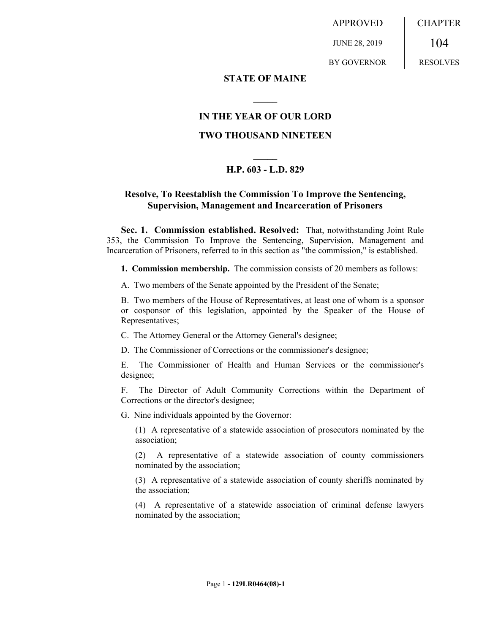APPROVED

JUNE 28, 2019

CHAPTER 104

BY GOVERNOR

RESOLVES

#### **STATE OF MAINE**

## **IN THE YEAR OF OUR LORD**

**\_\_\_\_\_**

#### **TWO THOUSAND NINETEEN**

# **\_\_\_\_\_ H.P. 603 - L.D. 829**

### **Resolve, To Reestablish the Commission To Improve the Sentencing, Supervision, Management and Incarceration of Prisoners**

**Sec. 1. Commission established. Resolved:** That, notwithstanding Joint Rule 353, the Commission To Improve the Sentencing, Supervision, Management and Incarceration of Prisoners, referred to in this section as "the commission," is established.

**1. Commission membership.** The commission consists of 20 members as follows:

A. Two members of the Senate appointed by the President of the Senate;

B. Two members of the House of Representatives, at least one of whom is a sponsor or cosponsor of this legislation, appointed by the Speaker of the House of Representatives;

C. The Attorney General or the Attorney General's designee;

D. The Commissioner of Corrections or the commissioner's designee;

E. The Commissioner of Health and Human Services or the commissioner's designee;

F. The Director of Adult Community Corrections within the Department of Corrections or the director's designee;

G. Nine individuals appointed by the Governor:

(1) A representative of a statewide association of prosecutors nominated by the association;

(2) A representative of a statewide association of county commissioners nominated by the association;

(3) A representative of a statewide association of county sheriffs nominated by the association;

(4) A representative of a statewide association of criminal defense lawyers nominated by the association;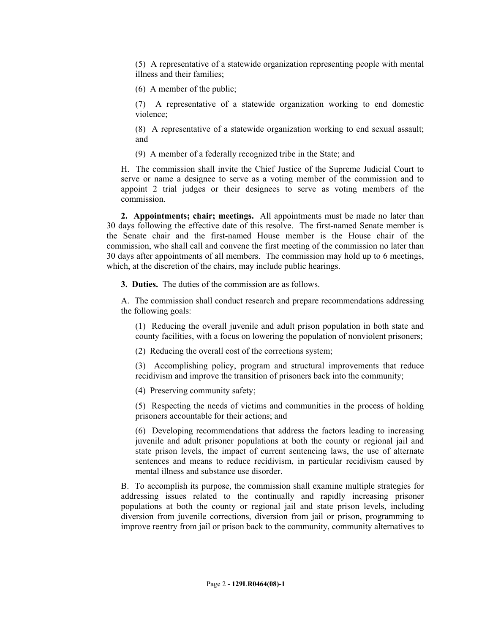(5) A representative of a statewide organization representing people with mental illness and their families;

(6) A member of the public;

(7) A representative of a statewide organization working to end domestic violence;

(8) A representative of a statewide organization working to end sexual assault; and

(9) A member of a federally recognized tribe in the State; and

H. The commission shall invite the Chief Justice of the Supreme Judicial Court to serve or name a designee to serve as a voting member of the commission and to appoint 2 trial judges or their designees to serve as voting members of the commission.

**2. Appointments; chair; meetings.** All appointments must be made no later than 30 days following the effective date of this resolve. The first-named Senate member is the Senate chair and the first-named House member is the House chair of the commission, who shall call and convene the first meeting of the commission no later than 30 days after appointments of all members. The commission may hold up to 6 meetings, which, at the discretion of the chairs, may include public hearings.

**3. Duties.** The duties of the commission are as follows.

A. The commission shall conduct research and prepare recommendations addressing the following goals:

(1) Reducing the overall juvenile and adult prison population in both state and county facilities, with a focus on lowering the population of nonviolent prisoners;

(2) Reducing the overall cost of the corrections system;

(3) Accomplishing policy, program and structural improvements that reduce recidivism and improve the transition of prisoners back into the community;

(4) Preserving community safety;

(5) Respecting the needs of victims and communities in the process of holding prisoners accountable for their actions; and

(6) Developing recommendations that address the factors leading to increasing juvenile and adult prisoner populations at both the county or regional jail and state prison levels, the impact of current sentencing laws, the use of alternate sentences and means to reduce recidivism, in particular recidivism caused by mental illness and substance use disorder.

B. To accomplish its purpose, the commission shall examine multiple strategies for addressing issues related to the continually and rapidly increasing prisoner populations at both the county or regional jail and state prison levels, including diversion from juvenile corrections, diversion from jail or prison, programming to improve reentry from jail or prison back to the community, community alternatives to